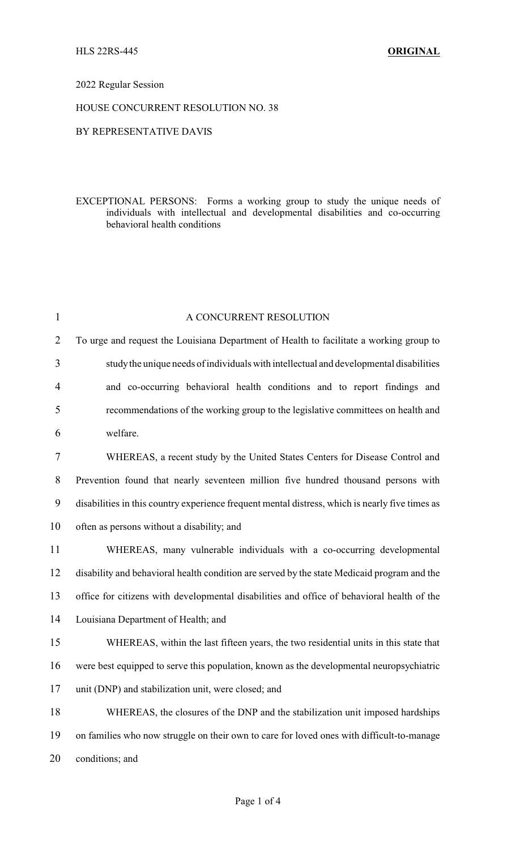## 2022 Regular Session

## HOUSE CONCURRENT RESOLUTION NO. 38

## BY REPRESENTATIVE DAVIS

EXCEPTIONAL PERSONS: Forms a working group to study the unique needs of individuals with intellectual and developmental disabilities and co-occurring behavioral health conditions

| $\mathbf{1}$   | A CONCURRENT RESOLUTION                                                                         |
|----------------|-------------------------------------------------------------------------------------------------|
| $\overline{2}$ | To urge and request the Louisiana Department of Health to facilitate a working group to         |
| 3              | study the unique needs of individuals with intellectual and developmental disabilities          |
| $\overline{4}$ | and co-occurring behavioral health conditions and to report findings and                        |
| 5              | recommendations of the working group to the legislative committees on health and                |
| 6              | welfare.                                                                                        |
| 7              | WHEREAS, a recent study by the United States Centers for Disease Control and                    |
| $8\,$          | Prevention found that nearly seventeen million five hundred thousand persons with               |
| 9              | disabilities in this country experience frequent mental distress, which is nearly five times as |
| 10             | often as persons without a disability; and                                                      |
| 11             | WHEREAS, many vulnerable individuals with a co-occurring developmental                          |
| 12             | disability and behavioral health condition are served by the state Medicaid program and the     |
| 13             | office for citizens with developmental disabilities and office of behavioral health of the      |
| 14             | Louisiana Department of Health; and                                                             |
| 15             | WHEREAS, within the last fifteen years, the two residential units in this state that            |
| 16             | were best equipped to serve this population, known as the developmental neuropsychiatric        |
| 17             | unit (DNP) and stabilization unit, were closed; and                                             |
| 18             | WHEREAS, the closures of the DNP and the stabilization unit imposed hardships                   |
| 19             | on families who now struggle on their own to care for loved ones with difficult-to-manage       |
| 20             | conditions; and                                                                                 |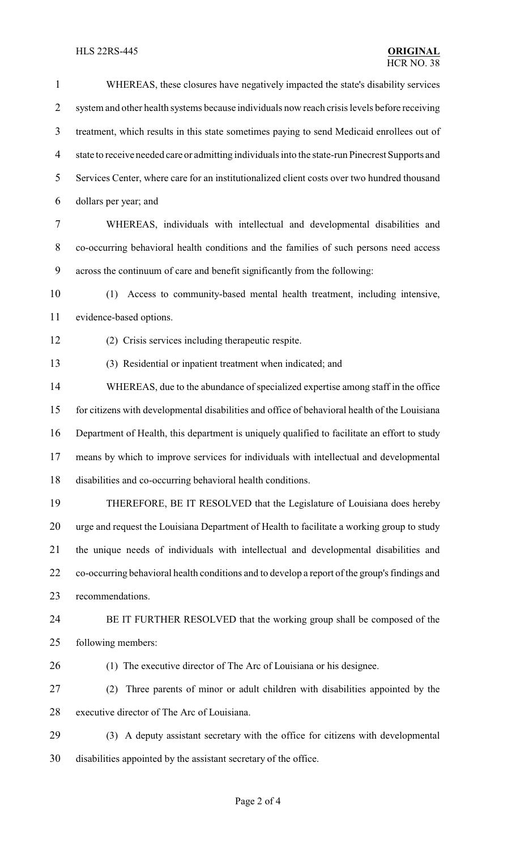# **HLS 22RS-445**

| $\mathbf{1}$   | WHEREAS, these closures have negatively impacted the state's disability services                |
|----------------|-------------------------------------------------------------------------------------------------|
| $\overline{2}$ | system and other health systems because individuals now reach crisis levels before receiving    |
| 3              | treatment, which results in this state sometimes paying to send Medicaid enrollees out of       |
| $\overline{4}$ | state to receive needed care or admitting individuals into the state-run Pinecrest Supports and |
| 5              | Services Center, where care for an institutionalized client costs over two hundred thousand     |
| 6              | dollars per year; and                                                                           |
| 7              | WHEREAS, individuals with intellectual and developmental disabilities and                       |
| $8\,$          | co-occurring behavioral health conditions and the families of such persons need access          |
| 9              | across the continuum of care and benefit significantly from the following:                      |
| 10             | Access to community-based mental health treatment, including intensive,<br>(1)                  |
| 11             | evidence-based options.                                                                         |
| 12             | (2) Crisis services including therapeutic respite.                                              |
| 13             | (3) Residential or inpatient treatment when indicated; and                                      |
| 14             | WHEREAS, due to the abundance of specialized expertise among staff in the office                |
| 15             | for citizens with developmental disabilities and office of behavioral health of the Louisiana   |
| 16             | Department of Health, this department is uniquely qualified to facilitate an effort to study    |
| 17             | means by which to improve services for individuals with intellectual and developmental          |
| 18             | disabilities and co-occurring behavioral health conditions.                                     |
| 19             | THEREFORE, BE IT RESOLVED that the Legislature of Louisiana does hereby                         |
| 20             | urge and request the Louisiana Department of Health to facilitate a working group to study      |
| 21             | the unique needs of individuals with intellectual and developmental disabilities and            |
| 22             | co-occurring behavioral health conditions and to develop a report of the group's findings and   |
| 23             | recommendations.                                                                                |
| 24             | BE IT FURTHER RESOLVED that the working group shall be composed of the                          |
| 25             | following members:                                                                              |
| 26             | (1) The executive director of The Arc of Louisiana or his designee.                             |
| 27             | Three parents of minor or adult children with disabilities appointed by the<br>(2)              |
| 28             | executive director of The Arc of Louisiana.                                                     |
| 29             | (3) A deputy assistant secretary with the office for citizens with developmental                |
| 30             | disabilities appointed by the assistant secretary of the office.                                |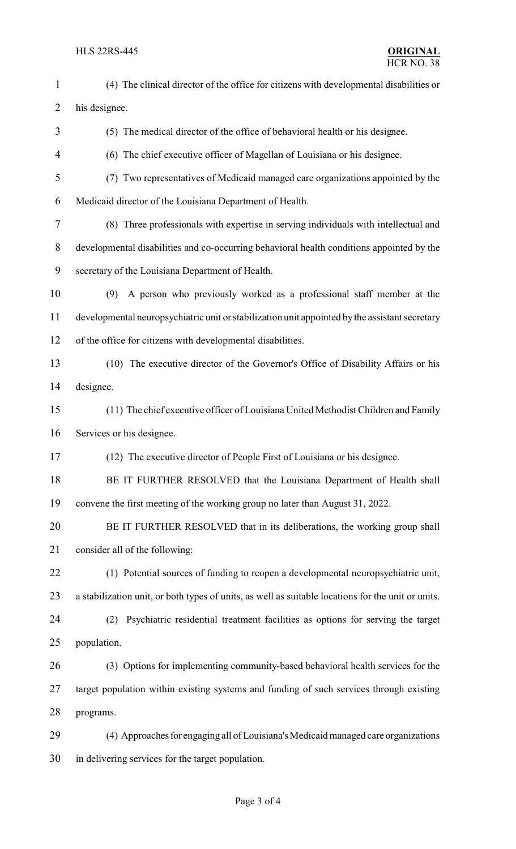HLS 22RS-445 **ORIGINAL** (4) The clinical director of the office for citizens with developmental disabilities or his designee. (5) The medical director of the office of behavioral health or his designee. (6) The chief executive officer of Magellan of Louisiana or his designee. (7) Two representatives of Medicaid managed care organizations appointed by the Medicaid director of the Louisiana Department of Health. (8) Three professionals with expertise in serving individuals with intellectual and developmental disabilities and co-occurring behavioral health conditions appointed by the secretary of the Louisiana Department of Health. (9) A person who previously worked as a professional staff member at the developmental neuropsychiatric unit or stabilization unit appointed by the assistant secretary of the office for citizens with developmental disabilities. (10) The executive director of the Governor's Office of Disability Affairs or his designee. (11) The chief executive officer of Louisiana United Methodist Children and Family Services or his designee. (12) The executive director of People First of Louisiana or his designee. 18 BE IT FURTHER RESOLVED that the Louisiana Department of Health shall convene the first meeting of the working group no later than August 31, 2022. BE IT FURTHER RESOLVED that in its deliberations, the working group shall consider all of the following: (1) Potential sources of funding to reopen a developmental neuropsychiatric unit, a stabilization unit, or both types of units, as well as suitable locations for the unit or units. (2) Psychiatric residential treatment facilities as options for serving the target population. (3) Options for implementing community-based behavioral health services for the target population within existing systems and funding of such services through existing programs. 29 (4) Approaches for engaging all of Louisiana's Medicaid managed care organizations in delivering services for the target population.